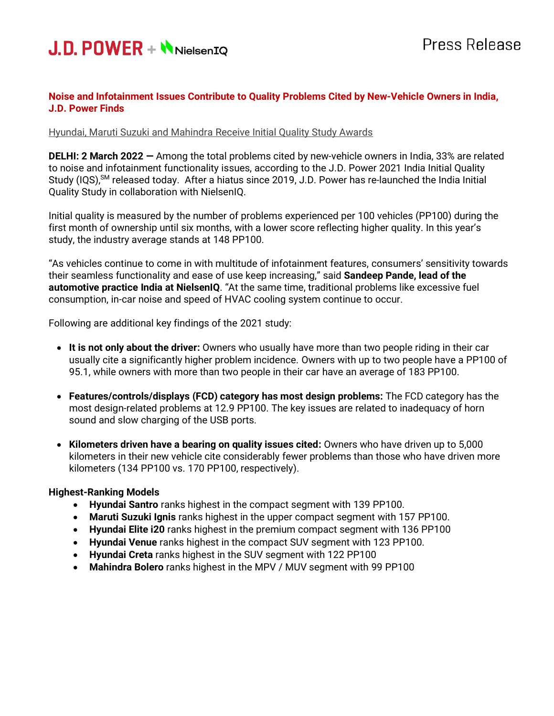

## **Noise and Infotainment Issues Contribute to Quality Problems Cited by New-Vehicle Owners in India, J.D. Power Finds**

#### Hyundai, Maruti Suzuki and Mahindra Receive Initial Quality Study Awards

**DELHI: 2 March 2022 —** Among the total problems cited by new-vehicle owners in India, 33% are related to noise and infotainment functionality issues, according to the J.D. Power 2021 India Initial Quality Study (IQS),<sup>SM</sup> released today. After a hiatus since 2019, J.D. Power has re-launched the India Initial Quality Study in collaboration with NielsenIQ.

Initial quality is measured by the number of problems experienced per 100 vehicles (PP100) during the first month of ownership until six months, with a lower score reflecting higher quality. In this year's study, the industry average stands at 148 PP100.

"As vehicles continue to come in with multitude of infotainment features, consumers' sensitivity towards their seamless functionality and ease of use keep increasing," said **Sandeep Pande, lead of the automotive practice India at NielsenIQ**. "At the same time, traditional problems like excessive fuel consumption, in-car noise and speed of HVAC cooling system continue to occur.

Following are additional key findings of the 2021 study:

- **It is not only about the driver:** Owners who usually have more than two people riding in their car usually cite a significantly higher problem incidence. Owners with up to two people have a PP100 of 95.1, while owners with more than two people in their car have an average of 183 PP100.
- **Features/controls/displays (FCD) category has most design problems:** The FCD category has the most design-related problems at 12.9 PP100. The key issues are related to inadequacy of horn sound and slow charging of the USB ports.
- **Kilometers driven have a bearing on quality issues cited:** Owners who have driven up to 5,000 kilometers in their new vehicle cite considerably fewer problems than those who have driven more kilometers (134 PP100 vs. 170 PP100, respectively).

#### **Highest-Ranking Models**

- **Hyundai Santro** ranks highest in the compact segment with 139 PP100.
- **Maruti Suzuki Ignis** ranks highest in the upper compact segment with 157 PP100.
- **Hyundai Elite i20** ranks highest in the premium compact segment with 136 PP100
- **Hyundai Venue** ranks highest in the compact SUV segment with 123 PP100.
- **Hyundai Creta** ranks highest in the SUV segment with 122 PP100
- **Mahindra Bolero** ranks highest in the MPV / MUV segment with 99 PP100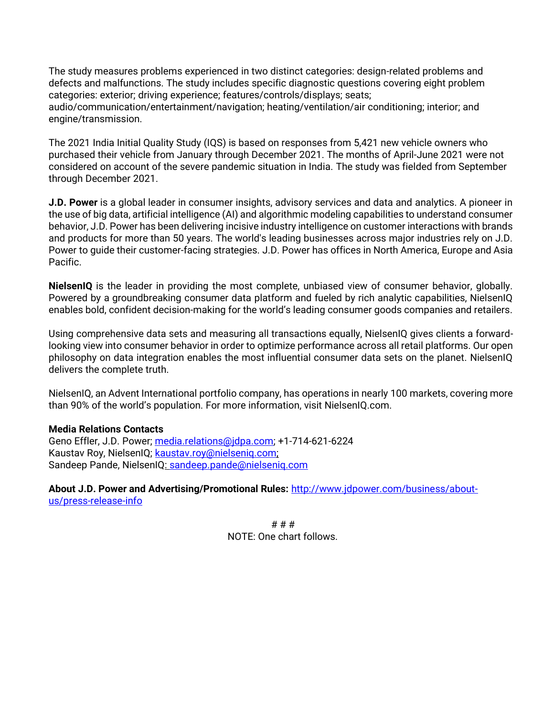The study measures problems experienced in two distinct categories: design-related problems and defects and malfunctions. The study includes specific diagnostic questions covering eight problem categories: exterior; driving experience; features/controls/displays; seats; audio/communication/entertainment/navigation; heating/ventilation/air conditioning; interior; and engine/transmission.

The 2021 India Initial Quality Study (IQS) is based on responses from 5,421 new vehicle owners who purchased their vehicle from January through December 2021. The months of April-June 2021 were not considered on account of the severe pandemic situation in India. The study was fielded from September through December 2021.

**J.D. Power** is a global leader in consumer insights, advisory services and data and analytics. A pioneer in the use of big data, artificial intelligence (AI) and algorithmic modeling capabilities to understand consumer behavior, J.D. Power has been delivering incisive industry intelligence on customer interactions with brands and products for more than 50 years. The world's leading businesses across major industries rely on J.D. Power to guide their customer-facing strategies. J.D. Power has offices in North America, Europe and Asia Pacific.

**NielsenIQ** is the leader in providing the most complete, unbiased view of consumer behavior, globally. Powered by a groundbreaking consumer data platform and fueled by rich analytic capabilities, NielsenIQ enables bold, confident decision-making for the world's leading consumer goods companies and retailers.

Using comprehensive data sets and measuring all transactions equally, NielsenIQ gives clients a forwardlooking view into consumer behavior in order to optimize performance across all retail platforms. Our open philosophy on data integration enables the most influential consumer data sets on the planet. NielsenIQ delivers the complete truth.

NielsenIQ, an Advent International portfolio company, has operations in nearly 100 markets, covering more than 90% of the world's population. For more information, visit NielsenIQ.com.

#### **Media Relations Contacts**

Geno Effler, J.D. Power; [media.relations@jdpa.com;](mailto:media.relations@jdpa.com) +1-714-621-6224 Kaustav Roy, NielsenIQ; [kaustav.roy@nielseniq.com;](mailto:kaustav.roy@nielseniq.com) Sandeep Pande, NielsenIQ: [sandeep.pande@nielseniq.com](mailto:sandeep.pande@nielseniq.com)

**About J.D. Power and Advertising/Promotional Rules:** [http://www.jdpower.com/business/about](http://www.jdpower.com/business/about-us/press-release-info)[us/press-release-info](http://www.jdpower.com/business/about-us/press-release-info)

> # # # NOTE: One chart follows.